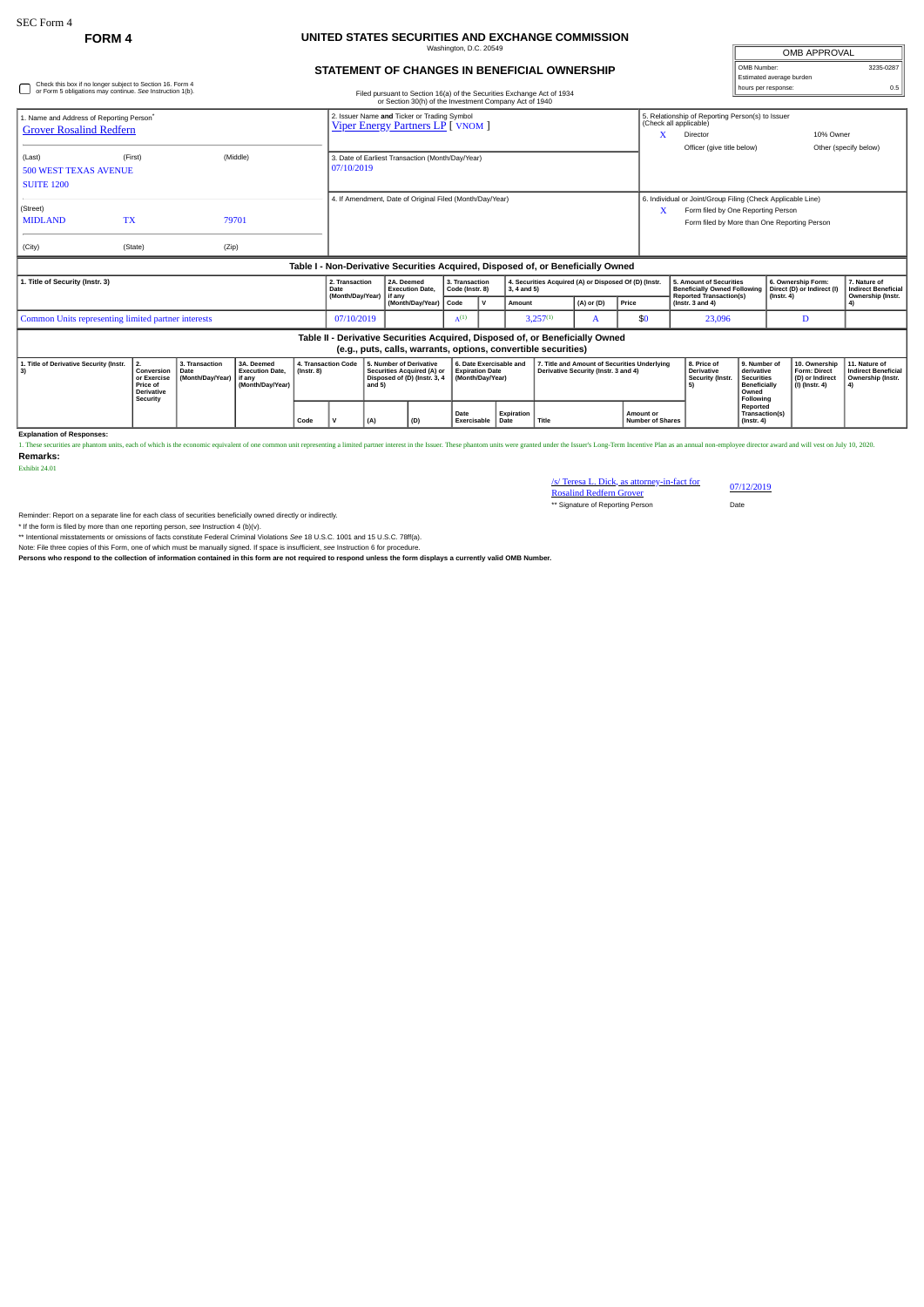## **FORM 4 UNITED STATES SECURITIES AND EXCHANGE COMMISSION**

| Washington, D.C. 20549                       |  |
|----------------------------------------------|--|
|                                              |  |
| STATEMENT OF CHANGES IN BENEFICIAL OWNERSHIP |  |

OMB APPROVAL OMB Number: 3235-0287 Estimated average burden

| Check this box if no longer subject to Section 16. Form 4 |  |
|-----------------------------------------------------------|--|
| or Form 5 obligations may continue. See Instruction 1(b). |  |

| Check this box if no longer subject to Section 16. Form 4<br>or Form 5 obligations may continue. See Instruction 1(b).                          |                                                                                                                                                                                                                     |                |  |                     | Filed pursuant to Section 16(a) of the Securities Exchange Act of 1934<br>or Section 30(h) of the Investment Company Act of 1940                                                                                   |                                                                |                                                                                       |                                                                                                                                       |                                                                       |                                                                                        |                                                                                      |                                                                                                                            |           |                                                                      | hours per response:                                                                                      |                                                                             |                                                                        |
|-------------------------------------------------------------------------------------------------------------------------------------------------|---------------------------------------------------------------------------------------------------------------------------------------------------------------------------------------------------------------------|----------------|--|---------------------|--------------------------------------------------------------------------------------------------------------------------------------------------------------------------------------------------------------------|----------------------------------------------------------------|---------------------------------------------------------------------------------------|---------------------------------------------------------------------------------------------------------------------------------------|-----------------------------------------------------------------------|----------------------------------------------------------------------------------------|--------------------------------------------------------------------------------------|----------------------------------------------------------------------------------------------------------------------------|-----------|----------------------------------------------------------------------|----------------------------------------------------------------------------------------------------------|-----------------------------------------------------------------------------|------------------------------------------------------------------------|
| 1. Name and Address of Reporting Person <sup>®</sup><br><b>Grover Rosalind Redfern</b>                                                          | 2. Issuer Name and Ticker or Trading Symbol<br><b>Viper Energy Partners LP</b> [ VNOM ]                                                                                                                             |                |  |                     |                                                                                                                                                                                                                    |                                                                |                                                                                       |                                                                                                                                       |                                                                       | 5. Relationship of Reporting Person(s) to Issuer<br>(Check all applicable)<br>Director |                                                                                      | 10% Owner                                                                                                                  |           |                                                                      |                                                                                                          |                                                                             |                                                                        |
| (First)<br>(Middle)<br>(Last)<br><b>500 WEST TEXAS AVENUE</b><br><b>SUITE 1200</b>                                                              |                                                                                                                                                                                                                     |                |  |                     |                                                                                                                                                                                                                    | 3. Date of Earliest Transaction (Month/Day/Year)<br>07/10/2019 |                                                                                       |                                                                                                                                       |                                                                       |                                                                                        |                                                                                      | Officer (give title below)                                                                                                 |           |                                                                      | Other (specify below)                                                                                    |                                                                             |                                                                        |
| (Street)<br><b>TX</b><br><b>MIDLAND</b><br>(City)                                                                                               | (State)                                                                                                                                                                                                             | 79701<br>(Zip) |  |                     | 4. If Amendment, Date of Original Filed (Month/Day/Year)<br>6. Individual or Joint/Group Filing (Check Applicable Line)<br>Form filed by One Reporting Person<br>x<br>Form filed by More than One Reporting Person |                                                                |                                                                                       |                                                                                                                                       |                                                                       |                                                                                        |                                                                                      |                                                                                                                            |           |                                                                      |                                                                                                          |                                                                             |                                                                        |
|                                                                                                                                                 | Table I - Non-Derivative Securities Acquired, Disposed of, or Beneficially Owned                                                                                                                                    |                |  |                     |                                                                                                                                                                                                                    |                                                                |                                                                                       |                                                                                                                                       |                                                                       |                                                                                        |                                                                                      |                                                                                                                            |           |                                                                      |                                                                                                          |                                                                             |                                                                        |
| 1. Title of Security (Instr. 3)                                                                                                                 |                                                                                                                                                                                                                     |                |  |                     | 2. Transaction<br>2A. Deemed<br><b>Execution Date.</b><br>Date<br>(Month/Day/Year)<br>if any<br>(Month/Dav/Year)                                                                                                   |                                                                | Code                                                                                  | 3. Transaction<br>4. Securities Acquired (A) or Disposed Of (D) (Instr.<br>Code (Instr. 8)<br>$3, 4$ and 5)<br>$\mathbf{v}$<br>Amount |                                                                       | (A) or (D)                                                                             | Price                                                                                | 5. Amount of Securities<br><b>Beneficially Owned Following</b><br><b>Reported Transaction(s)</b><br>$($ lnstr, 3 and 4 $)$ |           | 6. Ownership Form:<br>Direct (D) or Indirect (I)<br>$($ Instr. 4 $)$ | 7. Nature of<br><b>Indirect Beneficial</b><br>Ownership (Instr.                                          |                                                                             |                                                                        |
| Common Units representing limited partner interests                                                                                             | $A^{(1)}$<br>$3,257^{(1)}$<br>\$0<br>07/10/2019<br>23,096<br>D<br>A                                                                                                                                                 |                |  |                     |                                                                                                                                                                                                                    |                                                                |                                                                                       |                                                                                                                                       |                                                                       |                                                                                        |                                                                                      |                                                                                                                            |           |                                                                      |                                                                                                          |                                                                             |                                                                        |
| Table II - Derivative Securities Acquired, Disposed of, or Beneficially Owned<br>(e.g., puts, calls, warrants, options, convertible securities) |                                                                                                                                                                                                                     |                |  |                     |                                                                                                                                                                                                                    |                                                                |                                                                                       |                                                                                                                                       |                                                                       |                                                                                        |                                                                                      |                                                                                                                            |           |                                                                      |                                                                                                          |                                                                             |                                                                        |
| 1. Title of Derivative Security (Instr.<br>3)                                                                                                   | 2.<br>3. Transaction<br>3A. Deemed<br>Conversion<br><b>Execution Date.</b><br>$($ Instr. $8)$<br>Date<br>(Month/Day/Year)<br>or Exercise<br>if any<br>Price of<br>(Month/Day/Year)<br><b>Derivative</b><br>Security |                |  | 4. Transaction Code |                                                                                                                                                                                                                    | and 5)                                                         | 5. Number of Derivative<br>Securities Acquired (A) or<br>Disposed of (D) (Instr. 3, 4 |                                                                                                                                       | 6. Date Exercisable and<br><b>Expiration Date</b><br>(Month/Day/Year) |                                                                                        | 7. Title and Amount of Securities Underlying<br>Derivative Security (Instr. 3 and 4) |                                                                                                                            |           | 8. Price of<br>Derivative<br>Security (Instr.<br>5)                  | 9. Number of<br>derivative<br><b>Securities</b><br><b>Beneficially</b><br>Owned<br>Following<br>Reported | 10. Ownership<br><b>Form: Direct</b><br>(D) or Indirect<br>$(I)$ (Instr. 4) | 11. Nature of<br><b>Indirect Beneficial</b><br>Ownership (Instr.<br>4) |
|                                                                                                                                                 |                                                                                                                                                                                                                     |                |  | Code                |                                                                                                                                                                                                                    | (A)                                                            | (D)                                                                                   | Date                                                                                                                                  | Expiration<br>Exercisable<br>Date                                     |                                                                                        | Title                                                                                |                                                                                                                            | Amount or | <b>Number of Shares</b>                                              |                                                                                                          | Transaction(s)                                                              |                                                                        |

**Explanation of Responses:**

1. These securities are phantom units, each of which is the economic equivalent of one common unit representing a limited partner interest in the Issuer. These phantom units were granted under the Issuer's Long-Term Incent **Remarks:**

Exhibit 24.01

/s/ Teresa L. Dick, as attorney-in-fact for Rosalind Redfern Grover 07/12/2019

\*\* Signature of Reporting Person Date

Reminder: Report on a separate line for each class of securities beneficially owned directly or indirectly.

\* If the form is filed by more than one reporting person, see Instruction 4 (b)(v).<br>\*\* Intentional misstatements or omissions of facts constitute Federal Criminal Violations See 18 U.S.C. 1001 and 15 U.S.C. 78ff(a).<br>Note: